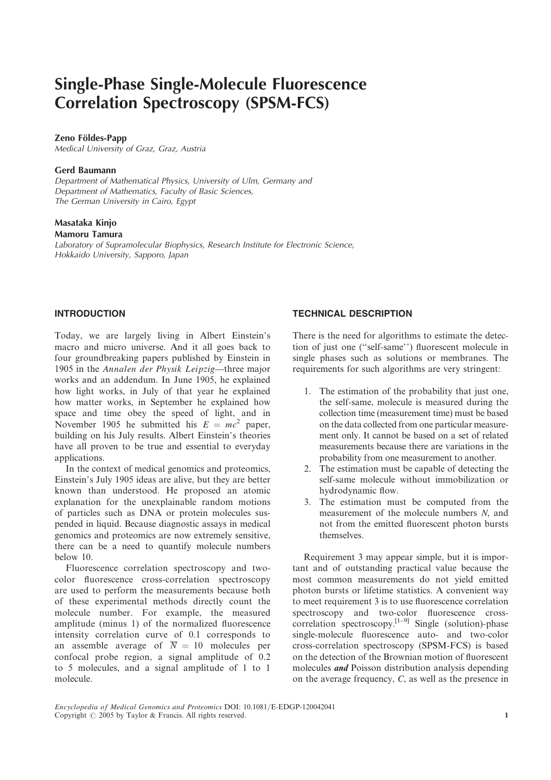# Single-Phase Single-Molecule Fluorescence Correlation Spectroscopy (SPSM-FCS)

## Zeno Földes-Papp

Medical University of Graz, Graz, Austria

## Gerd Baumann

Department of Mathematical Physics, University of Ulm, Germany and Department of Mathematics, Faculty of Basic Sciences, The German University in Cairo, Egypt

# Masataka Kinjo

## Mamoru Tamura

Laboratory of Supramolecular Biophysics, Research Institute for Electronic Science, Hokkaido University, Sapporo, Japan

# INTRODUCTION

Today, we are largely living in Albert Einstein's macro and micro universe. And it all goes back to four groundbreaking papers published by Einstein in 1905 in the Annalen der Physik Leipzig—three major works and an addendum. In June 1905, he explained how light works, in July of that year he explained how matter works, in September he explained how space and time obey the speed of light, and in November 1905 he submitted his  $E = mc^2$  paper, building on his July results. Albert Einstein's theories have all proven to be true and essential to everyday applications.

In the context of medical genomics and proteomics, Einstein's July 1905 ideas are alive, but they are better known than understood. He proposed an atomic explanation for the unexplainable random motions of particles such as DNA or protein molecules suspended in liquid. Because diagnostic assays in medical genomics and proteomics are now extremely sensitive, there can be a need to quantify molecule numbers below 10.

Fluorescence correlation spectroscopy and twocolor fluorescence cross-correlation spectroscopy are used to perform the measurements because both of these experimental methods directly count the molecule number. For example, the measured amplitude (minus 1) of the normalized fluorescence intensity correlation curve of 0.1 corresponds to an assemble average of  $\overline{N} = 10$  molecules per confocal probe region, a signal amplitude of 0.2 to 5 molecules, and a signal amplitude of 1 to 1 molecule.

# TECHNICAL DESCRIPTION

There is the need for algorithms to estimate the detection of just one (''self-same'') fluorescent molecule in single phases such as solutions or membranes. The requirements for such algorithms are very stringent:

- 1. The estimation of the probability that just one, the self-same, molecule is measured during the collection time (measurement time) must be based on the data collected from one particular measurement only. It cannot be based on a set of related measurements because there are variations in the probability from one measurement to another.
- 2. The estimation must be capable of detecting the self-same molecule without immobilization or hydrodynamic flow.
- 3. The estimation must be computed from the measurement of the molecule numbers N, and not from the emitted fluorescent photon bursts themselves.

Requirement 3 may appear simple, but it is important and of outstanding practical value because the most common measurements do not yield emitted photon bursts or lifetime statistics. A convenient way to meet requirement 3 is to use fluorescence correlation spectroscopy and two-color fluorescence crosscorrelation spectroscopy.<sup>[1–9]</sup> Single (solution)-phase single-molecule fluorescence auto- and two-color cross-correlation spectroscopy (SPSM-FCS) is based on the detection of the Brownian motion of fluorescent molecules and Poisson distribution analysis depending on the average frequency, C, as well as the presence in

Encyclopedia of Medical Genomics and Proteomics DOI: 10.1081/E-EDGP-120042041 Copyright  $\odot$  2005 by Taylor & Francis. All rights reserved. 1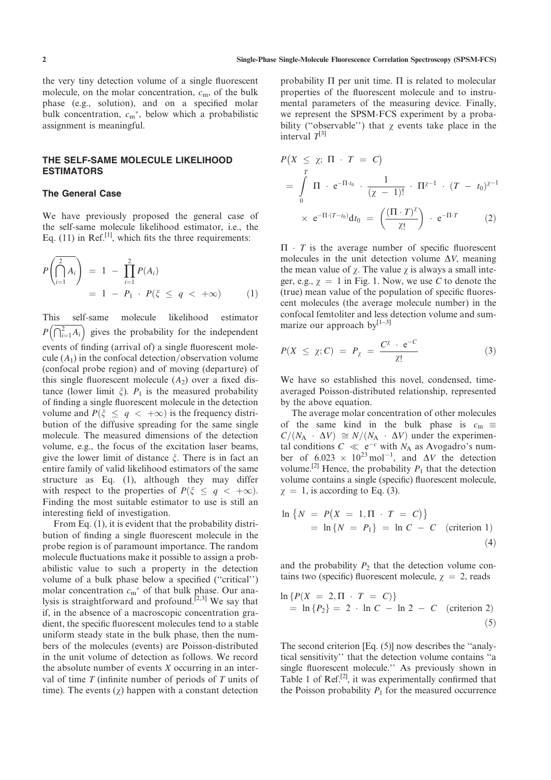the very tiny detection volume of a single fluorescent molecule, on the molar concentration,  $c<sub>m</sub>$ , of the bulk phase (e.g., solution), and on a specified molar bulk concentration,  $c_m^*$ , below which a probabilistic assignment is meaningful.

## THE SELF-SAME MOLECULE LIKELIHOOD ESTIMATORS

#### The General Case

We have previously proposed the general case of the self-same molecule likelihood estimator, i.e., the Eq.  $(11)$  in Ref.<sup>[1]</sup>, which fits the three requirements:

$$
P\left(\bigcap_{i=1}^{2} A_i\right) = 1 - \prod_{i=1}^{2} P(A_i)
$$
  
= 1 - P<sub>1</sub> \cdot P(\xi \le q < +\infty) (1)

This self-same molecule likelihood estimator  $P\left(\overline{\bigcap_{i=1}^{2} A_i}\right)$  gives the probability for the independent events of finding (arrival of) a single fluorescent molecule  $(A_1)$  in the confocal detection/observation volume (confocal probe region) and of moving (departure) of this single fluorescent molecule  $(A_2)$  over a fixed distance (lower limit  $\xi$ ).  $P_1$  is the measured probability of finding a single fluorescent molecule in the detection volume and  $P(\xi \le q < +\infty)$  is the frequency distribution of the diffusive spreading for the same single molecule. The measured dimensions of the detection volume, e.g., the focus of the excitation laser beams, give the lower limit of distance  $\xi$ . There is in fact an entire family of valid likelihood estimators of the same structure as Eq. (1), although they may differ with respect to the properties of  $P(\xi \le q < +\infty)$ . Finding the most suitable estimator to use is still an interesting field of investigation.

From Eq. (1), it is evident that the probability distribution of finding a single fluorescent molecule in the probe region is of paramount importance. The random molecule fluctuations make it possible to assign a probabilistic value to such a property in the detection volume of a bulk phase below a specified (''critical'') molar concentration  $c_m^*$  of that bulk phase. Our analysis is straightforward and profound.<sup>[2,3]</sup> We say that if, in the absence of a macroscopic concentration gradient, the specific fluorescent molecules tend to a stable uniform steady state in the bulk phase, then the numbers of the molecules (events) are Poisson-distributed in the unit volume of detection as follows. We record the absolute number of events X occurring in an interval of time  $T$  (infinite number of periods of  $T$  units of time). The events  $(y)$  happen with a constant detection probability  $\Pi$  per unit time.  $\Pi$  is related to molecular properties of the fluorescent molecule and to instrumental parameters of the measuring device. Finally, we represent the SPSM-FCS experiment by a probability ("observable") that  $\chi$  events take place in the interval  $T^{[3]}$ 

$$
P(X \le \chi; \Pi \cdot T = C)
$$
  
=  $\int_{0}^{T} \Pi \cdot e^{-\Pi \cdot t_0} \cdot \frac{1}{(\chi - 1)!} \cdot \Pi^{\chi - 1} \cdot (T - t_0)^{\chi - 1}$   
 $\times e^{-\Pi \cdot (T - t_0)} dt_0 = \left(\frac{(\Pi \cdot T)^{\chi}}{\chi!}\right) \cdot e^{-\Pi \cdot T}$  (2)

 $\Pi$   $\cdot$  *T* is the average number of specific fluorescent molecules in the unit detection volume  $\Delta V$ , meaning the mean value of  $\chi$ . The value  $\chi$  is always a small integer, e.g.,  $\chi = 1$  in Fig. 1. Now, we use C to denote the (true) mean value of the population of specific fluorescent molecules (the average molecule number) in the confocal femtoliter and less detection volume and summarize our approach by $[1-3]$ 

$$
P(X \leq \chi; C) = P_{\chi} = \frac{C^{\chi} \cdot e^{-C}}{\chi!}
$$
 (3)

We have so established this novel, condensed, timeaveraged Poisson-distributed relationship, represented by the above equation.

The average molar concentration of other molecules of the same kind in the bulk phase is  $c_m \equiv$  $C/(N_A \cdot \Delta V) \cong N/(N_A \cdot \Delta V)$  under the experimental conditions  $C \ll e^{-c}$  with  $N_A$  as Avogadro's num-<br>her of 6.023  $\times$  10<sup>23</sup> mol<sup>-1</sup> and AV the detection ber of  $6.023 \times 10^{23}$  mol<sup>-1</sup>, and  $\Delta V$  the detection<br>volume <sup>[2]</sup> Hence the probability *P*, that the detection volume.<sup>[2]</sup> Hence, the probability  $P_1$  that the detection volume contains a single (specific) fluorescent molecule,  $\chi = 1$ , is according to Eq. (3).

$$
\ln \{N = P(X = 1, \Pi \cdot T = C)\}
$$
  
= 
$$
\ln \{N = P_1\} = \ln C - C
$$
 (criterion 1)  
(4)

and the probability  $P_2$  that the detection volume contains two (specific) fluorescent molecule,  $\chi = 2$ , reads

$$
\ln \{ P(X = 2, \Pi \cdot T = C) \}
$$
  
= 
$$
\ln \{ P_2 \} = 2 \cdot \ln C - \ln 2 - C
$$
 (criterion 2) (5)

The second criterion [Eq. (5)] now describes the ''analytical sensitivity'' that the detection volume contains ''a single fluorescent molecule.'' As previously shown in Table 1 of Ref.<sup>[2]</sup>, it was experimentally confirmed that the Poisson probability  $P_1$  for the measured occurrence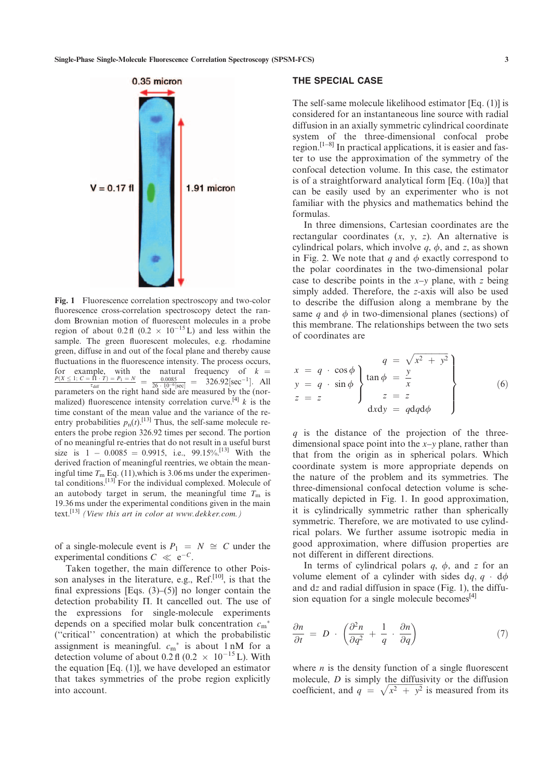

Fig. 1 Fluorescence correlation spectroscopy and two-color fluorescence cross-correlation spectroscopy detect the random Brownian motion of fluorescent molecules in a probe region of about  $0.2 \text{ ft}$   $(0.2 \times 10^{-15} \text{ L})$  and less within the sample. The green fluorescent molecules, e.g. rhodamine green, diffuse in and out of the focal plane and thereby cause fluctuations in the fluorescence intensity. The process occurs, for example, with the natural frequency of  $k = \frac{P(X \le 1; C = \Pi \cdot T) = P_1 = N}{\tau_{diff}} = \frac{0.0085}{26 \cdot 10^{-6} [\text{sec}]} = 326.92 [\text{sec}^{-1}]$ . All parameters on the right hand side are measured by the (normalized) fluorescence intensity correlation curve.<sup>[4]</sup>  $k$  is the time constant of the mean value and the variance of the reentry probabilities  $p_n(t)$ .<sup>[13]</sup> Thus, the self-same molecule reenters the probe region 326.92 times per second. The portion of no meaningful re-entries that do not result in a useful burst size is  $1 - 0.0085 = 0.9915$ , i.e.,  $99.15\%$ .<sup>[13]</sup> With the derived fraction of meaningful reentries, we obtain the meaningful time  $T_m$  Eq. (11), which is 3.06 ms under the experimental conditions.<sup>[13]</sup> For the individual complexed. Molecule of an autobody target in serum, the meaningful time  $T<sub>m</sub>$  is 19.36 ms under the experimental conditions given in the main text.<sup>[13]</sup> (View this art in color at www.dekker.com.)

of a single-molecule event is  $P_1 = N \cong C$  under the experimental conditions  $C \ll e^{-C}$ .<br>Taken together, the main differ

Taken together, the main difference to other Poisson analyses in the literature, e.g., Ref.<sup>[10]</sup>, is that the final expressions [Eqs.  $(3)$ – $(5)$ ] no longer contain the detection probability  $\Pi$ . It cancelled out. The use of the expressions for single-molecule experiments depends on a specified molar bulk concentration  $c_m^*$ (''critical'' concentration) at which the probabilistic assignment is meaningful.  $c_m^*$  is about 1 nM for a detection volume of about  $0.2 \text{ fl } (0.2 \times 10^{-15} \text{ L})$ . With the equation [Eq. (1)], we have developed an estimator the equation [Eq. (1)], we have developed an estimator that takes symmetries of the probe region explicitly into account.

#### THE SPECIAL CASE

The self-same molecule likelihood estimator [Eq. (1)] is considered for an instantaneous line source with radial diffusion in an axially symmetric cylindrical coordinate system of the three-dimensional confocal probe region.<sup>[1-8]</sup> In practical applications, it is easier and faster to use the approximation of the symmetry of the confocal detection volume. In this case, the estimator is of a straightforward analytical form [Eq. (10a)] that can be easily used by an experimenter who is not familiar with the physics and mathematics behind the formulas.

In three dimensions, Cartesian coordinates are the rectangular coordinates  $(x, y, z)$ . An alternative is cylindrical polars, which involve  $q$ ,  $\phi$ , and z, as shown in Fig. 2. We note that q and  $\phi$  exactly correspond to the polar coordinates in the two-dimensional polar case to describe points in the  $x-y$  plane, with z being simply added. Therefore, the z-axis will also be used to describe the diffusion along a membrane by the same q and  $\phi$  in two-dimensional planes (sections) of this membrane. The relationships between the two sets of coordinates are

$$
\begin{aligned}\nx &= q \cdot \cos \phi \\
y &= q \cdot \sin \phi\n\end{aligned}\n\left\{\n\begin{aligned}\nq &= \sqrt{x^2 + y^2} \\
\tan \phi &= \frac{y}{x} \\
z &= z \\
dx dy &= q dq d\phi\n\end{aligned}\n\right\} (6)
$$

 $q$  is the distance of the projection of the threedimensional space point into the  $x-y$  plane, rather than that from the origin as in spherical polars. Which coordinate system is more appropriate depends on the nature of the problem and its symmetries. The three-dimensional confocal detection volume is schematically depicted in Fig. 1. In good approximation, it is cylindrically symmetric rather than spherically symmetric. Therefore, we are motivated to use cylindrical polars. We further assume isotropic media in good approximation, where diffusion properties are not different in different directions.

In terms of cylindrical polars  $q$ ,  $\phi$ , and z for an volume element of a cylinder with sides  $dq$ ,  $q \cdot d\phi$ and  $dz$  and radial diffusion in space (Fig. 1), the diffusion equation for a single molecule becomes $^{[4]}$ 

$$
\frac{\partial n}{\partial t} = D \cdot \left( \frac{\partial^2 n}{\partial q^2} + \frac{1}{q} \cdot \frac{\partial n}{\partial q} \right) \tag{7}
$$

where  $n$  is the density function of a single fluorescent molecule,  $D$  is simply the diffusivity or the diffusion coefficient, and  $q = \sqrt{x^2 + y^2}$  is measured from its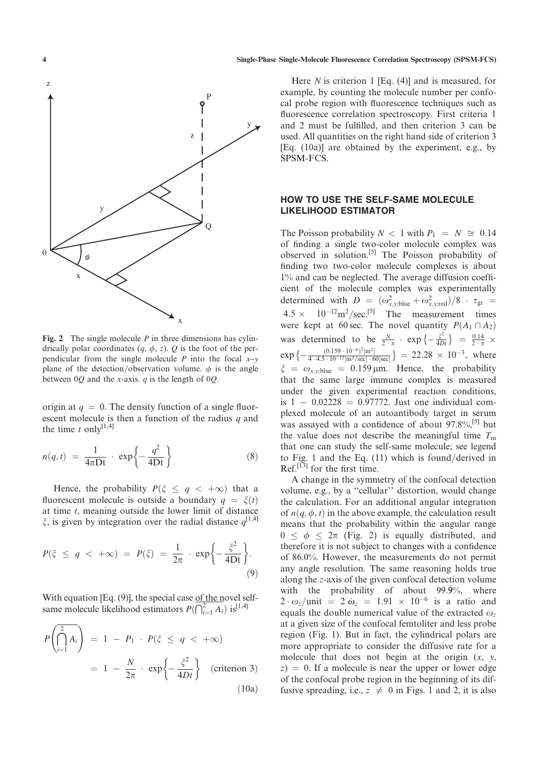

Fig. 2 The single molecule  $P$  in three dimensions has cylindrically polar coordinates  $(q, \phi, z)$ . Q is the foot of the perpendicular from the single molecule P into the focal  $x-y$ plane of the detection/observation volume.  $\phi$  is the angle between  $0Q$  and the x-axis. q is the length of  $0Q$ .

origin at  $q = 0$ . The density function of a single fluorescent molecule is then a function of the radius  $q$  and the time  $t$  only<sup>[1,4]</sup>

$$
n(q,t) = \frac{1}{4\pi Dt} \cdot \exp\left\{-\frac{q^2}{4Dt}\right\} \tag{8}
$$

Hence, the probability  $P(\xi \le q < +\infty)$  that a fluorescent molecule is outside a boundary  $q = \xi(t)$ at time  $t$ , meaning outside the lower limit of distance  $\xi$ , is given by integration over the radial distance  $q^{[1,4]}$ 

$$
P(\xi \le q < +\infty) = P(\xi) = \frac{1}{2\pi} \cdot \exp\left\{-\frac{\xi^2}{4Dt}\right\}.
$$
\n(9)

With equation [Eq.  $(9)$ ], the special case of the novel selfsame molecule likelihood estimators  $P(\bigcap_{i=1}^2 A_i)$  is  $\left[1,4\right]$ 

$$
P\left(\bigcap_{i=1}^{2} A_{i}\right) = 1 - P_{1} \cdot P(\xi \le q < +\infty)
$$
  
=  $1 - \frac{N}{2\pi} \cdot \exp\left\{-\frac{\xi^{2}}{4Dt}\right\}$  (criterion 3) (10a)

Here  $N$  is criterion 1 [Eq. (4)] and is measured, for example, by counting the molecule number per confocal probe region with fluorescence techniques such as fluorescence correlation spectroscopy. First criteria 1 and 2 must be fulfilled, and then criterion 3 can be used. All quantities on the right hand side of criterion 3 [Eq. (10a)] are obtained by the experiment, e.g., by SPSM-FCS.

## HOW TO USE THE SELF-SAME MOLECULE LIKELIHOOD ESTIMATOR

The Poisson probability  $N < 1$  with  $P_1 = N \approx 0.14$ of finding a single two-color molecule complex was observed in solution.[5] The Poisson probability of finding two two-color molecule complexes is about 1% and can be neglected. The average diffusion coefficient of the molecule complex was experimentally determined with  $D = (\omega_{x,y;\text{blue}}^2 + \omega_{x,y;\text{red}}^2)/8$   $\tau_{\text{gr}} =$  $4.5 \times 10^{-12} \text{m}^2/\text{sec}^{5}$  The measurement times were kept at 60 sec. The novel quantity  $P(A_1 \cap A_2)$ was determined to be  $\frac{N}{2 \cdot \pi} \cdot \exp \left\{-\frac{\xi^2}{4Dt}\right\} = \frac{0.14}{2 \cdot \pi}$  $4Dt \int$   $-2 \cdot \pi$  $\exp \left\{ -\frac{(0.159 \cdot 10^{-6})^2 [\text{m}^2]}{4 \cdot 4.5 \cdot 10^{-12} [\text{m}^2/\text{sec}] \cdot 6} \right\}$  $\frac{(0.159 \cdot 10^{-9})^2 \text{ [m}^2}{4 \cdot 4.5 \cdot 10^{-12} \text{ [m}^2/\text{sec}^3]} = 22.28 \times 10^{-3}, \text{ where}$  $\xi = \omega_{x,y;\text{blue}} = 0.159 \,\text{\mu m}$ . Hence, the probability that the same large immune complex is measured under the given experimental reaction conditions,  $i_s$  is  $1 - 0.02228 = 0.97772$ . Just one individual complexed molecule of an autoantibody target in serum was assayed with a confidence of about 97.8%,<sup>[5]</sup> but the value does not describe the meaningful time  $T<sub>m</sub>$ that one can study the self-same molecule; see legend to Fig. 1 and the Eq.  $(11)$  which is found/derived in Ref.<sup>[13]</sup> for the first time.

A change in the symmetry of the confocal detection volume, e.g., by a ''cellular'' distortion, would change the calculation. For an additional angular integration of  $n(q, \phi, t)$  in the above example, the calculation result means that the probability within the angular range  $0 \leq \phi \leq 2\pi$  (Fig. 2) is equally distributed, and therefore it is not subject to changes with a confidence of 86.0%. However, the measurements do not permit any angle resolution. The same reasoning holds true along the z-axis of the given confocal detection volume with the probability of about  $99.\overline{9}\%$ , where  $2 \cdot \omega_z$ /unit =  $2 \dot{\omega}_z = 1.91 \times 10^{-6}$  is a ratio and<br>equals the double numerical value of the extracted  $\omega$ . equals the double numerical value of the extracted  $\omega_z$ at a given size of the confocal femtoliter and less probe region (Fig. 1). But in fact, the cylindrical polars are more appropriate to consider the diffusive rate for a molecule that does not begin at the origin  $(x, y, z)$  $z$ ) = 0. If a molecule is near the upper or lower edge of the confocal probe region in the beginning of its diffusive spreading, i.e.,  $z \neq 0$  in Figs. 1 and 2, it is also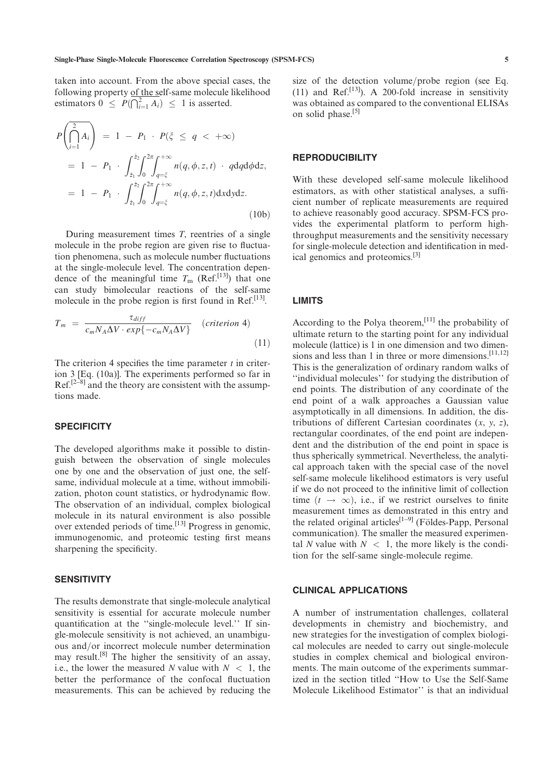estimators  $0 \leq P(\bigcap_{i=1}^{2} A_i) \leq 1$  is asserted.  $P \left( \bigcap^2 \right)$  $i=1$  $\left(\bigcap_{i=1}^{n} A_i\right)$  $= 1 - P_1 \cdot P(\xi \le q < +\infty)$  $= 1 - P_1 \cdot \int_{\dot{z}_1}^{\dot{z}_2}$  $\dot{z}_1$ <sup>2</sup>  $\int$ <sup>2 $\pi$ </sup> 0  $\int^{+\infty}$  $\int_{q=\xi} n(q,\phi,z,t) \cdot q dq d\phi dz,$  $= 1 - P_1 \cdot \int_{\dot{z}_1}^{\dot{z}_2}$  $\dot{z}_1$ <sup>2</sup>  $\int$ <sup>2 $\pi$ </sup> 0  $\int^{+\infty}$  $\int_{q=\xi} n(q, \phi, z, t) \mathrm{d}x \mathrm{d}y \mathrm{d}z.$  $(10b)$ 

During measurement times  $T$ , reentries of a single molecule in the probe region are given rise to fluctuation phenomena, such as molecule number fluctuations at the single-molecule level. The concentration dependence of the meaningful time  $T_{\text{m}}$  (Ref.<sup>[13]</sup>) that one can study bimolecular reactions of the self-same molecule in the probe region is first found in Ref.<sup>[13]</sup>.

$$
T_m = \frac{\tau_{diff}}{c_m N_A \Delta V \cdot exp\{-c_m N_A \Delta V\}} \quad (criterion 4)
$$
\n(11)

The criterion 4 specifies the time parameter  $t$  in criterion 3 [Eq. (10a)]. The experiments performed so far in Ref.<sup>[2-8]</sup> and the theory are consistent with the assumptions made.

#### **SPECIFICITY**

The developed algorithms make it possible to distinguish between the observation of single molecules one by one and the observation of just one, the selfsame, individual molecule at a time, without immobilization, photon count statistics, or hydrodynamic flow. The observation of an individual, complex biological molecule in its natural environment is also possible over extended periods of time.<sup>[13]</sup> Progress in genomic, immunogenomic, and proteomic testing first means sharpening the specificity.

#### **SENSITIVITY**

The results demonstrate that single-molecule analytical sensitivity is essential for accurate molecule number quantification at the ''single-molecule level.'' If single-molecule sensitivity is not achieved, an unambiguous and/or incorrect molecule number determination may result.[8] The higher the sensitivity of an assay, i.e., the lower the measured N value with  $N < 1$ , the better the performance of the confocal fluctuation measurements. This can be achieved by reducing the size of the detection volume/probe region (see Eq. (11) and Ref.<sup>[13]</sup>). A 200-fold increase in sensitivity was obtained as compared to the conventional ELISAs on solid phase.<sup>[5]</sup>

## **REPRODUCIBILITY**

With these developed self-same molecule likelihood estimators, as with other statistical analyses, a sufficient number of replicate measurements are required to achieve reasonably good accuracy. SPSM-FCS provides the experimental platform to perform highthroughput measurements and the sensitivity necessary for single-molecule detection and identification in medical genomics and proteomics.[3]

# LIMITS

According to the Polya theorem, $[11]$  the probability of ultimate return to the starting point for any individual molecule (lattice) is 1 in one dimension and two dimensions and less than 1 in three or more dimensions.<sup>[11,12]</sup> This is the generalization of ordinary random walks of ''individual molecules'' for studying the distribution of end points. The distribution of any coordinate of the end point of a walk approaches a Gaussian value asymptotically in all dimensions. In addition, the distributions of different Cartesian coordinates  $(x, y, z)$ , rectangular coordinates, of the end point are independent and the distribution of the end point in space is thus spherically symmetrical. Nevertheless, the analytical approach taken with the special case of the novel self-same molecule likelihood estimators is very useful if we do not proceed to the infinitive limit of collection time  $(t \rightarrow \infty)$ , i.e., if we restrict ourselves to finite measurement times as demonstrated in this entry and the related original articles<sup>[1–9]</sup> (Földes-Papp, Personal communication). The smaller the measured experimental N value with  $N < 1$ , the more likely is the condition for the self-same single-molecule regime.

#### CLINICAL APPLICATIONS

A number of instrumentation challenges, collateral developments in chemistry and biochemistry, and new strategies for the investigation of complex biological molecules are needed to carry out single-molecule studies in complex chemical and biological environments. The main outcome of the experiments summarized in the section titled ''How to Use the Self-Same Molecule Likelihood Estimator'' is that an individual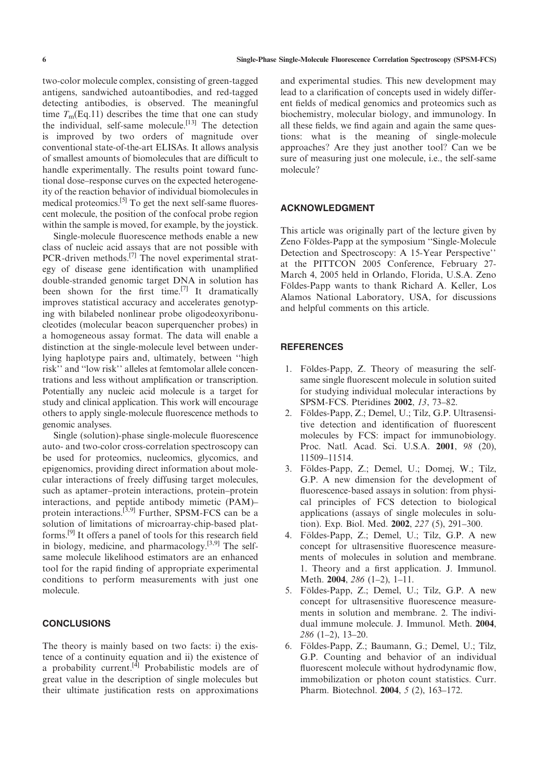two-color molecule complex, consisting of green-tagged antigens, sandwiched autoantibodies, and red-tagged detecting antibodies, is observed. The meaningful time  $T<sub>m</sub>(Eq.11)$  describes the time that one can study the individual, self-same molecule.<sup>[13]</sup> The detection is improved by two orders of magnitude over conventional state-of-the-art ELISAs. It allows analysis of smallest amounts of biomolecules that are difficult to handle experimentally. The results point toward functional dose–response curves on the expected heterogeneity of the reaction behavior of individual biomolecules in medical proteomics.[5] To get the next self-same fluorescent molecule, the position of the confocal probe region within the sample is moved, for example, by the joystick.

Single-molecule fluorescence methods enable a new class of nucleic acid assays that are not possible with PCR-driven methods.<sup>[7]</sup> The novel experimental strategy of disease gene identification with unamplified double-stranded genomic target DNA in solution has been shown for the first time.<sup>[7]</sup> It dramatically improves statistical accuracy and accelerates genotyping with bilabeled nonlinear probe oligodeoxyribonucleotides (molecular beacon superquencher probes) in a homogeneous assay format. The data will enable a distinction at the single-molecule level between underlying haplotype pairs and, ultimately, between ''high risk'' and ''low risk'' alleles at femtomolar allele concentrations and less without amplification or transcription. Potentially any nucleic acid molecule is a target for study and clinical application. This work will encourage others to apply single-molecule fluorescence methods to genomic analyses.

Single (solution)-phase single-molecule fluorescence auto- and two-color cross-correlation spectroscopy can be used for proteomics, nucleomics, glycomics, and epigenomics, providing direct information about molecular interactions of freely diffusing target molecules, such as aptamer–protein interactions, protein–protein interactions, and peptide antibody mimetic (PAM)– protein interactions.<sup>[3,9]</sup> Further, SPSM-FCS can be a solution of limitations of microarray-chip-based platforms.[9] It offers a panel of tools for this research field in biology, medicine, and pharmacology. $[3,9]$  The selfsame molecule likelihood estimators are an enhanced tool for the rapid finding of appropriate experimental conditions to perform measurements with just one molecule.

## **CONCLUSIONS**

The theory is mainly based on two facts: i) the existence of a continuity equation and ii) the existence of a probability current.<sup>[4]</sup> Probabilistic models are of great value in the description of single molecules but their ultimate justification rests on approximations

and experimental studies. This new development may lead to a clarification of concepts used in widely different fields of medical genomics and proteomics such as biochemistry, molecular biology, and immunology. In all these fields, we find again and again the same questions: what is the meaning of single-molecule approaches? Are they just another tool? Can we be sure of measuring just one molecule, i.e., the self-same molecule?

# ACKNOWLEDGMENT

This article was originally part of the lecture given by Zeno Földes-Papp at the symposium "Single-Molecule Detection and Spectroscopy: A 15-Year Perspective'' at the PITTCON 2005 Conference, February 27- March 4, 2005 held in Orlando, Florida, U.S.A. Zeno Földes-Papp wants to thank Richard A. Keller, Los Alamos National Laboratory, USA, for discussions and helpful comments on this article.

## **REFERENCES**

- 1. Földes-Papp, Z. Theory of measuring the selfsame single fluorescent molecule in solution suited for studying individual molecular interactions by SPSM-FCS. Pteridines 2002, <sup>13</sup>, 73–82.
- 2. Földes-Papp, Z.; Demel, U.; Tilz, G.P. Ultrasensitive detection and identification of fluorescent molecules by FCS: impact for immunobiology. Proc. Natl. Acad. Sci. U.S.A. 2001, <sup>98</sup> (20), 11509–11514.
- 3. Földes-Papp, Z.; Demel, U.; Domej, W.; Tilz, G.P. A new dimension for the development of fluorescence-based assays in solution: from physical principles of FCS detection to biological applications (assays of single molecules in solution). Exp. Biol. Med. 2002, <sup>227</sup> (5), 291–300.
- Földes-Papp, Z.; Demel, U.; Tilz, G.P. A new concept for ultrasensitive fluorescence measurements of molecules in solution and membrane. 1. Theory and a first application. J. Immunol. Meth. 2004, <sup>286</sup> (1–2), 1–11.
- 5. Földes-Papp, Z.; Demel, U.; Tilz, G.P. A new concept for ultrasensitive fluorescence measurements in solution and membrane. 2. The individual immune molecule. J. Immunol. Meth. 2004, 286 (1–2), 13–20.
- 6. Földes-Papp, Z.; Baumann, G.; Demel, U.; Tilz, G.P. Counting and behavior of an individual fluorescent molecule without hydrodynamic flow, immobilization or photon count statistics. Curr. Pharm. Biotechnol. 2004, <sup>5</sup> (2), 163–172.